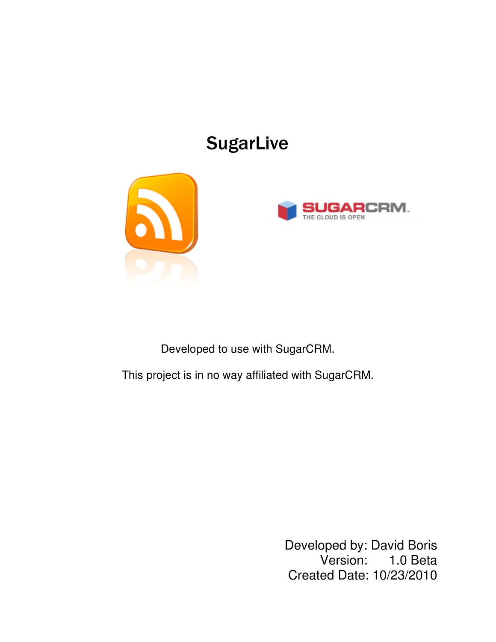# **SugarLive**





Developed to use with SugarCRM.

This project is in no way affiliated with SugarCRM.

Developed by: David Boris Version: 1.0 Beta Created Date: 10/23/2010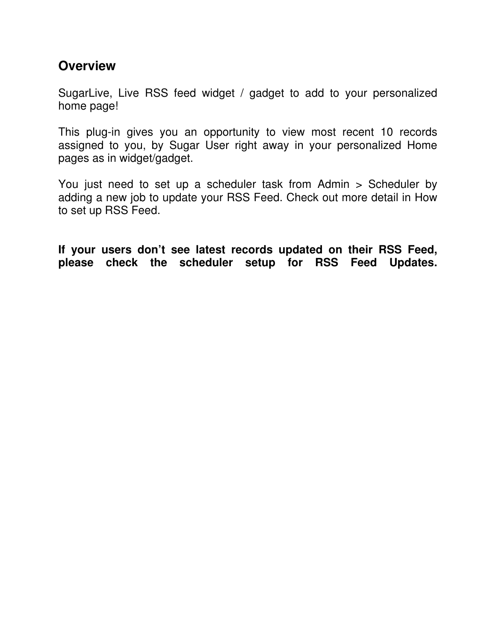#### **Overview**

SugarLive, Live RSS feed widget / gadget to add to your personalized home page!

This plug-in gives you an opportunity to view most recent 10 records assigned to you, by Sugar User right away in your personalized Home pages as in widget/gadget.

You just need to set up a scheduler task from Admin > Scheduler by adding a new job to update your RSS Feed. Check out more detail in How to set up RSS Feed.

If your users don't see latest records updated on their RSS Feed, please check the scheduler setup for RSS Feed Updates.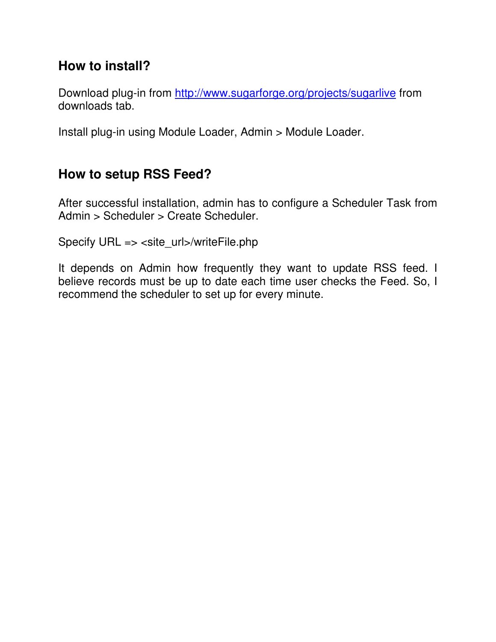#### How to install?

Download plug-in from http://www.sugarforge.org/projects/sugarlive from downloads tab.

Install plug-in using Module Loader, Admin > Module Loader.

## How to setup RSS Feed?

After successful installation, admin has to configure a Scheduler Task from Admin > Scheduler > Create Scheduler.

Specify URL => <site\_url>/writeFile.php

It depends on Admin how frequently they want to update RSS feed. I believe records must be up to date each time user checks the Feed. So, I recommend the scheduler to set up for every minute.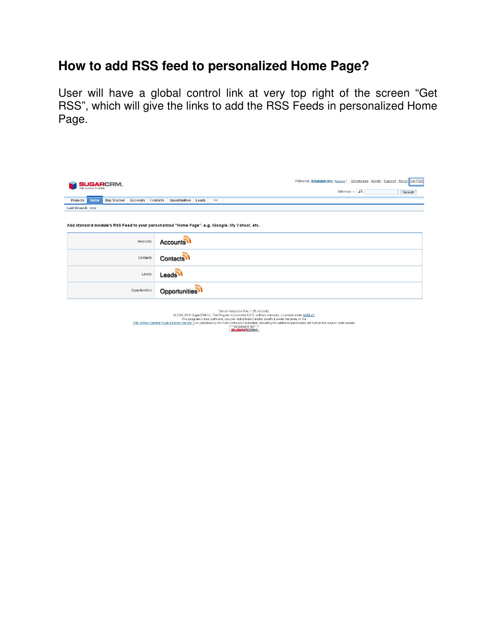### How to add RSS feed to personalized Home Page?

User will have a global control link at very top right of the screen "Get RSS", which will give the links to add the RSS Feeds in personalized Home Page.

| <b>SUGARCRM.</b><br>THE CLOUD IS OPEN                                                          | Welcome, Administrator [Logout] Employees   Admin   Support   About   Get RSS<br>Sitemap $\sim  \Omega $<br>Search |  |  |  |
|------------------------------------------------------------------------------------------------|--------------------------------------------------------------------------------------------------------------------|--|--|--|
| Accounts<br>Projects<br>Home<br><b>Bug Tracker</b>                                             | Contacts<br>Opportunities Leads<br>$\gg$                                                                           |  |  |  |
| Last Viewed: none                                                                              |                                                                                                                    |  |  |  |
| Add standard module's RSS Feed to your personalized "Home Page". e.g. iGoogle, My Yahoo!, etc. |                                                                                                                    |  |  |  |
| Accounts:                                                                                      | <b>Accounts</b>                                                                                                    |  |  |  |
| Contacts:                                                                                      | <b>Contacts</b>                                                                                                    |  |  |  |
| Leads:                                                                                         | Leads <sup>1</sup>                                                                                                 |  |  |  |
| Opportunities:                                                                                 | <b>Opportunities</b>                                                                                               |  |  |  |

| Server response time: 1.38 seconds.                                                                                                                               |
|-------------------------------------------------------------------------------------------------------------------------------------------------------------------|
| @ 2004-2010 SugarCRM Inc. The Program is provided AS IS, without warranty, Licensed under AGPLv3.                                                                 |
| This program is free software; you can redistribute it and/or modify it under the terms of the                                                                    |
| GNU Affero General Public License version 3 as published by the Free Software Foundation, including the additional permission set forth in the source code header |
| POWERED BY<br><b>SUGARCRM.</b>                                                                                                                                    |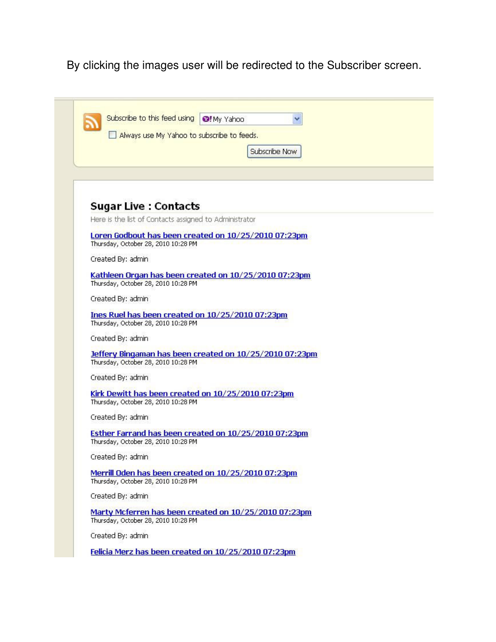By clicking the images user will be redirected to the Subscriber screen.

| Always use My Yahoo to subscribe to feeds.                                                                     |                                                         |
|----------------------------------------------------------------------------------------------------------------|---------------------------------------------------------|
|                                                                                                                | Subscribe Now                                           |
|                                                                                                                |                                                         |
|                                                                                                                |                                                         |
|                                                                                                                |                                                         |
|                                                                                                                |                                                         |
| <b>Sugar Live : Contacts</b>                                                                                   |                                                         |
| Here is the list of Contacts assigned to Administrator                                                         |                                                         |
|                                                                                                                | Loren Godbout has been created on 10/25/2010 07:23pm    |
| Thursday, October 28, 2010 10:28 PM                                                                            |                                                         |
| Created By: admin                                                                                              |                                                         |
|                                                                                                                | Kathleen Organ has been created on 10/25/2010 07:23pm   |
| Thursday, October 28, 2010 10:28 PM                                                                            |                                                         |
| Created By: admin                                                                                              |                                                         |
| Ines Ruel has been created on 10/25/2010 07:23pm                                                               |                                                         |
| Thursday, October 28, 2010 10:28 PM                                                                            |                                                         |
| Created By: admin.                                                                                             |                                                         |
|                                                                                                                |                                                         |
| Thursday, October 28, 2010 10:28 PM                                                                            | Jeffery Bingaman has been created on 10/25/2010 07:23pm |
| Created By: admin                                                                                              |                                                         |
|                                                                                                                |                                                         |
|                                                                                                                |                                                         |
|                                                                                                                |                                                         |
|                                                                                                                |                                                         |
| Kirk Dewitt has been created on 10/25/2010 07:23pm<br>Thursday, October 28, 2010 10:28 PM<br>Created By: admin |                                                         |
|                                                                                                                | Esther Farrand has been created on 10/25/2010 07:23pm   |
|                                                                                                                |                                                         |
| Thursday, October 28, 2010 10:28 PM<br>Created By: admin                                                       |                                                         |
|                                                                                                                | Merrill Oden has been created on 10/25/2010 07:23pm     |
| Thursday, October 28, 2010 10:28 PM                                                                            |                                                         |
| Created By: admin                                                                                              |                                                         |
| Thursday, October 28, 2010 10:28 PM                                                                            | Marty Mcferren has been created on 10/25/2010 07:23pm   |